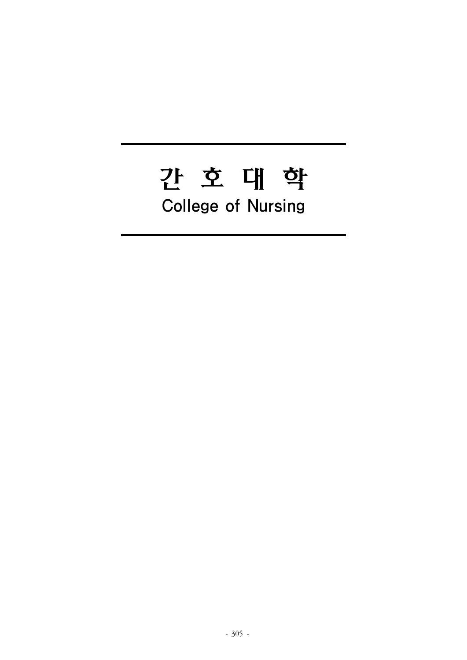# 간 호 대 학 **College of Nursing**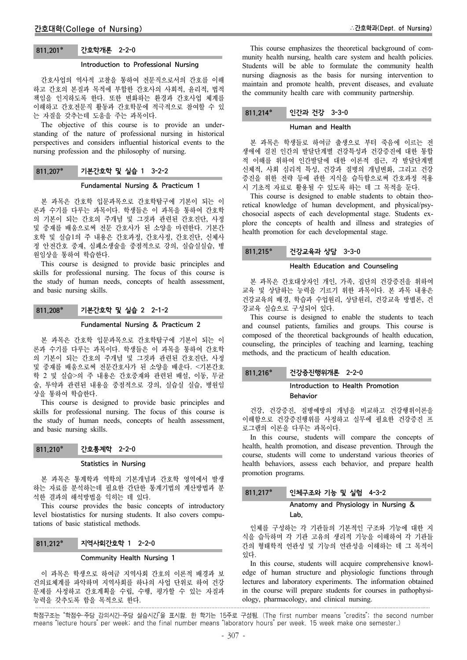# 811.201\* 간호학개론 2-2-0

#### Introduction to Professional Nursing

간호사업의 역사적 고찰을 통하여 전문직으로서의 간호를 이해 하고 간호의 본질과 목적에 부합한 간호사의 사회적, 윤리적, 법적 책임을 인지하도록 한다. 또한 변화하는 환경과 간호사업 체계를 이해하고 간호전문직 활동과 간호학문에 적극적으로 참여할 수 있 는 자질을 갖추는데 도움을 주는 과목이다.

The objective of this course is to provide an understanding of the nature of professional nursing in historical perspectives and considers influential historical events to the nursing profession and the philosophy of nursing.

# 811.207\* 기본간호학 및 실습 1 3-2-2

#### Fundamental Nursing & Practicum 1

본 과목은 간호학 입문과목으로 간호학탐구에 기본이 되는 이 론과 수기를 다루는 과목이다. 학생들은 이 과목을 통하여 간호학 의 기본이 되는 간호의 주개념 및 그것과 관련된 간호진단, 사정 및 중재를 배움으로써 전문 간호사가 된 소양을 마련한다. 기본간 호학 및 실습1의 주 내용은 간호과정, 간호사정, 간호진단, 신체사 정 안전간호 중재, 심폐소생술을 중점적으로 강의, 실습실실습, 병 원임상을 통하여 학습한다.

This course is designed to provide basic principles and skills for professional nursing. The focus of this course is the study of human needs, concepts of health assessment, and basic nursing skills.

# 811.208\* 기본간호학 및 실습 2 2-1-2

#### Fundamental Nursing & Practicum 2

본 과목은 간호학 입문과목으로 간호학탐구에 기본이 되는 이 론과 수기를 다루는 과목이다. 학생들은 이 과목을 통하여 간호학 의 기본이 되는 간호의 주개념 및 그것과 관련된 간호진단, 사정 및 중재를 배움으로써 전문간호사가 된 소양을 배운다. <기본간호 학 2 및 실습>의 주 내용은 간호중재와 관련된 배설, 이동, 무균 술, 투약과 관련된 내용을 중점적으로 강의, 실습실 실습, 병원임 상을 통하여 학습한다.

This course is designed to provide basic principles and skills for professional nursing. The focus of this course is the study of human needs, concepts of health assessment, and basic nursing skills.

811.210 간호통계학 2-2-0

#### Statistics in Nursing

본 과목은 통계학과 역학의 기본개념과 간호학 영역에서 발생 하는 자료를 분석하는데 필요한 간단한 통계기법의 계산방법과 분 석한 결과의 해석방법을 익히는 데 있다.

This course provides the basic concepts of introductory level biostatistics for nursing students. It also covers computations of basic statistical methods.

# 811.212 지역사회간호학 1 2-2-0

# Community Health Nursing 1

이 과목은 학생으로 하여금 지역사회 간호의 이론적 배경과 보 건의료체계를 파악하며 지역사회를 하나의 사업 단위로 하여 건강 문제를 사정하고 간호계획을 수립, 수행, 평가할 수 있는 자질과 능력을 갖추도록 함을 목적으로 한다.

This course emphasizes the theoretical background of community health nursing, health care system and health policies. Students will be able to formulate the community health nursing diagnosis as the basis for nursing intervention to maintain and promote health, prevent diseases, and evaluate the community health care with community partnership.

# 811.214 인간과 건강 3-3-0

## Human and Health

본 과목은 학생들로 하여금 출생으로 부터 죽음에 이르는 전 생애에 걸친 인간의 발달단계별 건강특성과 건강증진에 대한 통합 적 이해를 위하여 인간발달에 대한 이론적 접근, 각 발달단계별 신체적, 사회 심리적 특성, 건강과 질병의 개념변화, 그리고 건강 증진을 위한 전략 등에 관한 지식을 습득함으로써 간호과정 적용 시 기초적 자료로 활용될 수 있도록 하는 데 그 목적을 둔다.

This course is designed to enable students to obtain theoretical knowledge of human development, and physical/psychosocial aspects of each developmental stage. Students explore the concepts of health and illness and strategies of health promotion for each developmental stage.

# 811.215\* 건강교육과 상담 3-3-0

# Health Education and Counseling

본 과목은 간호대상자인 개인, 가족, 집단의 건강증진을 위하여 교육 및 상담하는 능력을 기르기 위한 과목이다. 본 과목 내용은 건강교육의 배경, 학습과 수업원리, 상담원리, 건강교육 방볍론, 건 강교육 실습으로 구성되어 있다.

This course is designed to enable the students to teach and counsel patients, families and groups. This course is composed of the theoretical backgrounds of health education, counseling, the principles of teaching and learning, teaching methods, and the practicum of health education.

# 811.216\* 건강증진행위개론 2-2-0

# Introduction to Health Promotion Behavior

건강, 건강증진, 질병예방의 개념을 비교하고 건강행위이론을 이해함으로 건강증진행위를 사정하고 실무에 필요한 건강증진 프 로그램의 이론을 다루는 과목이다.

In this course, students will compare the concepts of health, health promotion, and disease prevention. Through the course, students will come to understand various theories of health behaviors, assess each behavior, and prepare health promotion programs.

# 811.217 인체구조와 기능 및 실험 4-3-2

# Anatomy and Physiology in Nursing & Lab.

인체를 구성하는 각 기관들의 기본적인 구조와 기능에 대한 지 식을 습득하며 각 기관 고유의 생리적 기능을 이해하여 각 기관들 간의 형태학적 연관성 및 기능의 연관성을 이해하는 데 그 목적이 있다.

In this course, students will acquire comprehensive knowledge of human structure and physiologic functions through lectures and laboratory experiments. The information obtained in the course will prepare students for courses in pathophysiology, pharmacology, and clinical nursing.

학점구조는 "학점수-주당 강의시간-주당 실습시간"을 표시함. 한 학기는 15주로 구성됨. (The first number means "credits"; the second number means "lecture hours" per week; and the final number means "laboratory hours" per week. 15 week make one semester.)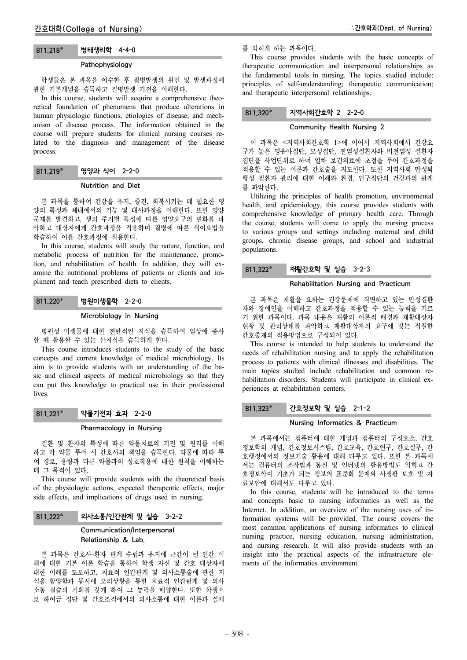# 811.218\* 병태생리학 4-4-0

## Pathophysiology

학생들은 본 과목을 이수한 후 질병발생의 원인 및 발생과정에 관한 기본개념을 습득하고 질병발생 기전을 이해한다.

In this course, students will acquire a comprehensive theoretical foundation of phenomena that produce alterations in human physiologic functions, etiologies of disease, and mechanism of disease process. The information obtained in the course will prepare students for clinical nursing courses related to the diagnosis and management of the disease process.

# 811.219\* 영양과 식이 2-2-0

#### Nutrition and Diet

본 과목을 통하여 건강을 유지, 증진, 회복시키는 데 필요한 영 양의 특성과 체내에서의 기능 및 대사과정을 이해한다. 또한 영양 문제를 발견하고, 생의 주기별 특성에 따른 영양요구의 변화를 파 악하고 대상자에게 간호과정을 적용하며 질병에 따른 식이요법을 학습하여 이를 간호과정에 적용한다.

In this course, students will study the nature, function, and metabolic process of nutrition for the maintenance, promotion, and rehabilitation of health. In addition, they will examine the nutritional problems of patients or clients and impliment and teach prescribed diets to clients.

## 811.220\* 병원미생물학 2-2-0

#### Microbiology in Nursing

병원성 미생물에 대한 전반적인 지식을 습득하여 임상에 종사 할 때 활용할 수 있는 산지식을 습득하게 한다.

This course introduces students to the study of the basic concepts and current knowledge of medical microbiology. Its aim is to provide students with an understanding of the basic and clinical aspects of medical microbiology so that they can put this knowledge to practical use in their professional lives.

# 811.221 약물기전과 효과 2-2-0

#### Pharmacology in Nursing

질환 및 환자의 특성에 따른 약물치료의 기전 및 원리를 이해 하고 각 약물 투여 시 간호사의 책임을 습득한다. 약물에 따라 투 여 경로, 용량과 다른 약물과의 상호작용에 대한 원칙을 이해하는 데 그 목적이 있다.

This course will provide students with the theoretical basis of the physiologic actions, expected therapeutic effects, major side effects, and implications of drugs used in nursing.

#### 811.222\* | 의사소통/인간관계 및 실습 3-2-2

# Communication/Interpersonal Relationship & Lab.

본 과목은 간호사-환자 관계 수립과 유지에 근간이 될 인간 이 해에 대한 기본 이론 학습을 통하여 학생 자신 및 간호 대상자에 대한 이해를 도모하고, 치료적 인간관계 및 의사소통술에 관한 지 식을 함양함과 동시에 모의상황을 통한 치료적 인간관계 및 의사 소통 실습의 기회를 갖게 하여 그 능력을 배양한다. 또한 학생으 로 하여금 집단 및 간호조직에서의 의사소통에 대한 이론과 실제

를 익히게 하는 과목이다.

This course provides students with the basic concepts of therapeutic communication and interpersonal relationships as the fundamental tools in nursing. The topics studied include: principles of self-understanding; therapeutic communication; and therapeutic interpersonal relationships.

#### 811.320\* 지역사회간호학 2 2-2-0

# Community Health Nursing 2

이 과목은 <지역사회간호학 1>에 이어서 지역사회에서 건강요 구가 높은 영유아집단, 모성집단, 전염성질환자와 비전염성 질환자 집단을 사업단위로 하여 일차 보건의료에 초점을 두어 간호과정을 적용할 수 있는 이론과 간호술을 지도한다. 또한 지역사회 만성퇴 행성 질환자 관리에 대한 이해와 환경, 인구집단의 건강과의 관계 를 파악한다.

Utilizing the principles of health promotion, environmental health, and epidemiology, this course provides students with comprehensive knowledge of primary health care. Through the course, students will come to apply the nursing process to various groups and settings including maternal and child groups, chronic disease groups, and school and industrial populations.

# 811.322 재활간호학 및 실습 3-2-3

#### Rehabilitation Nursing and Practicum

본 과목은 재활을 요하는 건강문제에 직면하고 있는 만성질환 자와 장애인을 이해하고 간호과정을 적용할 수 있는 능력을 기르 기 위한 과목이다. 과목 내용은 재활의 이론적 배경과 재활대상자 현황 및 관리상태를 파악하고 재활대상자의 요구에 맞는 적절한 간호중재의 적용방법으로 구성되어 있다.

This course is intended to help students to understand the needs of rehabilitation nursing and to apply the rehabilitation process to patients with clinical illnesses and disabilities. The main topics studied include rehabilitation and common rehabilitation disorders. Students will participate in clinical experiences at rehabilitation centers.

# 811.323 간호정보학 및 실습 2-1-2

#### Nursing Informatics & Practicum

본 과목에서는 컴퓨터에 대한 개념과 컴퓨터의 구성요소, 간호 정보학의 개념, 간호정보시스템, 간호교육, 간호연구, 간호실무, 간 호행정에서의 정보기술 활용에 대해 다루고 있다. 또한 본 과목에 서는 컴퓨터의 조작법과 통신 및 인터넷의 활용방법도 익히고 간 호정보학이 기초가 되는 정보의 표준화 문제와 사생활 보호 및 자 료보안에 대해서도 다루고 있다.

In this course, students will be introduced to the terms and concepts basic to nursing informatics as well as the Internet. In addition, an overview of the nursing uses of information systems will be provided. The course covers the most common applications of nursing informatics to clinical nursing practice, nursing education, nursing administration, and nursing research. It will also provide students with an insight into the practical aspects of the infrastructure elements of the informatics environment.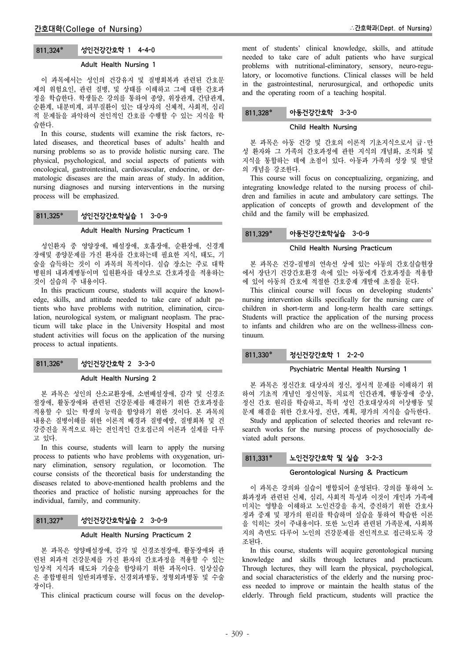# 811.324 성인건강간호학 1 4-4-0

#### Adult Health Nursing 1

이 과목에서는 성인의 건강유지 및 질병회복과 관련된 간호문 제의 위험요인, 관련 질병, 및 상태를 이해하고 그에 대한 간호과 정을 학습한다. 학생들은 강의를 통하여 종양, 위장관계, 간담관계, 순환계, 내분비계, 피부질환이 있는 대상자의 신체적, 사회적, 심리 적 문제들을 파악하여 전인적인 간호를 수행할 수 있는 지식을 학 습한다.

In this course, students will examine the risk factors, related diseases, and theoretical bases of adults' health and nursing problems so as to provide holistic nursing care. The physical, psychological, and social aspects of patients with oncological, gastrointestinal, cardiovascular, endocrine, or dermatologic diseases are the main areas of study. In addition, nursing diagnoses and nursing interventions in the nursing process will be emphasized.

# 811.325 성인건강간호학실습 1 3-0-9

#### Adult Health Nursing Practicum 1

성인환자 중 영양장애, 배설장애, 호흡장애, 순환장애, 신경계 장애및 종양문제를 가진 환자를 간호하는데 필요한 지식, 태도, 기 술을 습득하는 것이 이 과목의 목적이다. 실습 장소는 주로 대학 병원의 내과계병동이며 입원환자를 대상으로 간호과정을 적용하는 것이 실습의 주 내용이다.

In this practicum course, students will acquire the knowledge, skills, and attitude needed to take care of adult patients who have problems with nutrition, elimination, circulation, neurological system, or malignant neoplasm. The practicum will take place in the University Hospital and most student activities will focus on the application of the nursing process to actual inpatients.

# 811.326\* 성인건강간호학 2 3-3-0

# Adult Health Nursing 2

본 과목은 성인의 산소교환장애, 소변배설장애, 감각 및 신경조 절장애, 활동장애와 관련된 건강문제를 해결하기 위한 간호과정을 적용할 수 있는 학생의 능력을 함양하기 위한 것이다. 본 과목의 내용은 질병이해를 위한 이론적 배경과 질병예방, 질병회복 및 건 강증진을 목적으로 하는 전인적인 간호접근의 이론과 실제를 다루 고 있다.

In this course, students will learn to apply the nursing process to patients who have problems with oxygenation, urinary elimination, sensory regulation, or locomotion. The course consists of the theoretical basis for understanding the diseases related to above-mentioned health problems and the theories and practice of holistic nursing approaches for the individual, family, and community.

# 811,327\* 서인건강간호학실습 2 3-0-9

## Adult Health Nursing Practicum 2

본 과목은 영양배설장애, 감각 및 신경조절장애, 활동장애와 관 련된 외과적 건강문제를 가진 환자의 간호과정을 적용할 수 있는 임상적 지식과 태도와 기술을 함양하기 위한 과목이다. 임상실습 은 종합병원의 일반외과병동, 신경외과병동, 정형외과병동 및 수술 장이다.

This clinical practicum course will focus on the develop-

ment of students' clinical knowledge, skills, and attitude needed to take care of adult patients who have surgical problems with nutritional-eliminatory, sensory, neuro-regulatory, or locomotive functions. Clinical classes will be held in the gastrointestinal, nerurosurgical, and orthopedic units and the operating room of a teaching hospital.

# 811.328 아동건강간호학 3-3-0

## Child Health Nursing

본 과목은 아동 건강 및 간호의 이론적 기초지식으로서 급 ․ 만 성 환자와 그 가족의 간호과정에 관한 지식의 개념화, 조직화 및 지식을 통합하는 데에 초점이 있다. 아동과 가족의 성장 및 발달 의 개념을 강조한다.

This course will focus on conceptualizing, organizing, and integrating knowledge related to the nursing process of children and families in acute and ambulatory care settings. The application of concepts of growth and development of the child and the family will be emphasized.

# 811.329\* 아동건강간호학실습 3-0-9

## Child Health Nursing Practicum

본 과목은 건강-질병의 연속선 상에 있는 아동의 간호실습현장 에서 장단기 건강간호환경 속에 있는 아동에게 간호과정을 적용함 에 있어 아동의 간호에 적절한 간호중재 개발에 초점을 둔다.

This clinical course will focus on developing students' nursing intervention skills specifically for the nursing care of children in short-term and long-term health care settings. Students will practice the application of the nursing process to infants and children who are on the wellness-illness continuum.

# 811.330\* 정신건강간호학 1 2-2-0

## Psychiatric Mental Health Nursing 1

본 과목은 정신간호 대상자의 정신, 정서적 문제를 이해하기 위 하여 기초적 개념인 정신역동, 치료적 인간관계, 행동장애 증상, 정신 간호 원리를 학습하고, 특히 성인 간호대상자의 이상행동 및 문제 해결을 위한 간호사정, 진단, 계획, 평가의 지식을 습득한다. Study and application of selected theories and relevant re-

search works for the nursing process of psychosocially deviated adult persons.

# 811.331\* 노인건강간호학 및 실습 3-2-3

#### Gerontological Nursing & Practicum

이 과목은 강의와 실습이 병합되어 운영된다. 강의를 통하여 노 화과정과 관련된 신체, 심리, 사회적 특성과 이것이 개인과 가족에 미치는 영향을 이해하고 노인건강을 유지, 증진하기 위한 간호사 정과 중재 및 평가의 원리를 학습하며 실습을 통하여 학습한 이론 을 익히는 것이 주내용이다. 또한 노인과 관련된 가족문제, 사회복 지의 측면도 다루어 노인의 건강문제를 전인적으로 접근하도록 강 조된다.

In this course, students will acquire gerontological nursing knowledge and skills through lectures and practicum. Through lectures, they will learn the physical, psychological, and social characteristics of the elderly and the nursing process needed to improve or maintain the health status of the elderly. Through field practicum, students will practice the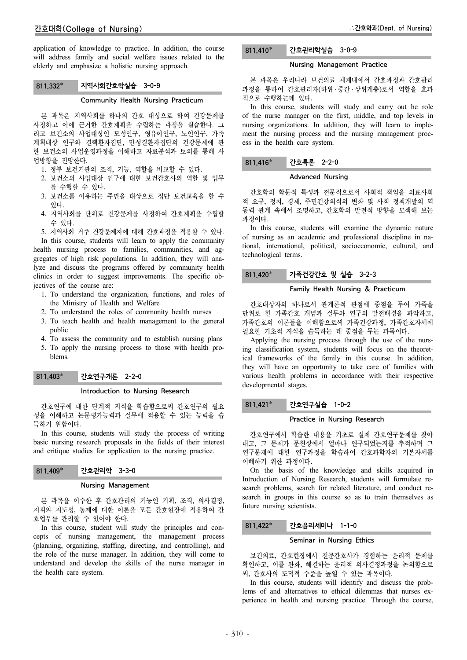application of knowledge to practice. In addition, the course will address family and social welfare issues related to the elderly and emphasize a holistic nursing approach.

# 811.332 지역사회간호학실습 3-0-9

# Community Health Nursing Practicum

본 과목은 지역사회를 하나의 간호 대상으로 하여 건강문제를 사정하고 이에 근거한 간호계획을 수립하는 과정을 실습한다. 그 리고 보건소의 사업대상인 모성인구, 영유아인구, 노인인구, 가족 계획대상 인구와 결핵환자집단, 만성질환자집단의 건강문제에 관 한 보건소의 사업운영과정을 이해하고 자료분석과 토의를 통해 사 업방향을 전망한다.

- 1. 정부 보건기관의 조직, 기능, 역할을 비교할 수 있다.
- 2. 보건소의 사업대상 인구에 대한 보건간호사의 역할 및 업무 를 수행할 수 있다.
- 3. 보건소를 이용하는 주민을 대상으로 집단 보건교육을 할 수 있다.
- 4. 지역사회를 단위로 건강문제를 사정하여 간호계획을 수립할 수 있다.

5. 지역사회 거주 건강문제자에 대해 간호과정을 적용할 수 있다. In this course, students will learn to apply the community health nursing process to families, communities, and aggregates of high risk populations. In addition, they will analyze and discuss the programs offered by community health clinics in order to suggest improvements. The specific objectives of the course are:

- 1. To understand the organization, functions, and roles of the Ministry of Health and Welfare
- 2. To understand the roles of community health nurses
- 3. To teach health and health management to the general public
- 4. To assess the community and to establish nursing plans
- 5. To apply the nursing process to those with health problems.

# 811.403 간호연구개론 2-2-0

#### Introduction to Nursing Research

간호연구에 대한 단계적 지식을 학습함으로써 간호연구의 필요 성을 이해하고 논문평가능력과 실무에 적용할 수 있는 능력을 습 득하기 위함이다.

In this course, students will study the process of writing basic nursing research proposals in the fields of their interest and critique studies for application to the nursing practice.

# 811.409 간호관리학 3-3-0

#### Nursing Management

본 과목을 이수한 후 간호관리의 기능인 기획, 조직, 의사결정, 지휘와 지도성, 통제에 대한 이론을 모든 간호현장에 적용하여 간 호업무를 관리할 수 있어야 한다.

In this course, student will study the principles and concepts of nursing management, the management process (planning, organizing, staffing, directing, and controlling), and the role of the nurse manager. In addition, they will come to understand and develop the skills of the nurse manager in the health care system.

# 811.410 간호관리학실습 3-0-9

## Nursing Management Practice

본 과목은 우리나라 보건의료 체계내에서 간호과정과 간호관리 과정을 통하여 간호관리자(하위 ․ 중간 ․ 상위계층)로서 역할을 효과 적으로 수행하는데 있다.

In this course, students will study and carry out he role of the nurse manager on the first, middle, and top levels in nursing organizations. In addition, they will learn to implement the nursing process and the nursing management process in the health care system.

#### 811.416 간호특론 2-2-0

#### Advanced Nursing

간호학의 학문적 특성과 전문직으로서 사회적 책임을 의료사회 적 요구, 정치, 경제, 주민건강의식의 변화 및 사회 정책개발의 역 동력 관계 속에서 조명하고, 간호학의 발전적 방향을 모색해 보는 과정이다.

In this course, students will examine the dynamic nature of nursing as an academic and professional discipline in national, international, political, socioeconomic, cultural, and technological terms.

# 811,420\* 가족건강간호 및 실습 3-2-3

# Family Health Nursing & Practicum

간호대상자의 하나로서 관계론적 관점에 중점을 두어 가족을 단위로 한 가족간호 개념과 실무와 연구의 발전배경을 파악하고, 가족간호의 이론들을 이해함으로써 가족건강과정, 가족간호자세에 필요한 기초적 지식을 습득하는 데 중점을 두는 과목이다.

Applying the nursing process through the use of the nursing classification system, students will focus on the theoretical frameworks of the family in this course. In addition, they will have an opportunity to take care of families with various health problems in accordance with their respective developmental stages.

#### 811.421 간호연구실습 1-0-2

#### Practice in Nursing Research

간호연구에서 학습한 내용을 기초로 실제 간호연구문제를 찾아 내고, 그 문제가 문헌상에서 얼마나 연구되었는지를 추적하며 그 연구문제에 대한 연구과정을 학습하여 간호과학자의 기본자세를 이해하기 위한 과정이다.

On the basis of the knowledge and skills acquired in Introduction of Nursing Research, students will formulate research problems, search for related literature, and conduct research in groups in this course so as to train themselves as future nursing scientists.

#### 811.422 간호윤리세미나 1-1-0

#### Seminar in Nursing Ethics

보건의료, 간호현장에서 전문간호사가 경험하는 윤리적 문제를 확인하고, 이를 완화, 해결하는 윤리적 의사결정과정을 논의함으로 써, 간호사의 도덕적 수준을 높일 수 있는 과목이다.

In this course, students will identify and discuss the problems of and alternatives to ethical dilemmas that nurses experience in health and nursing practice. Through the course,